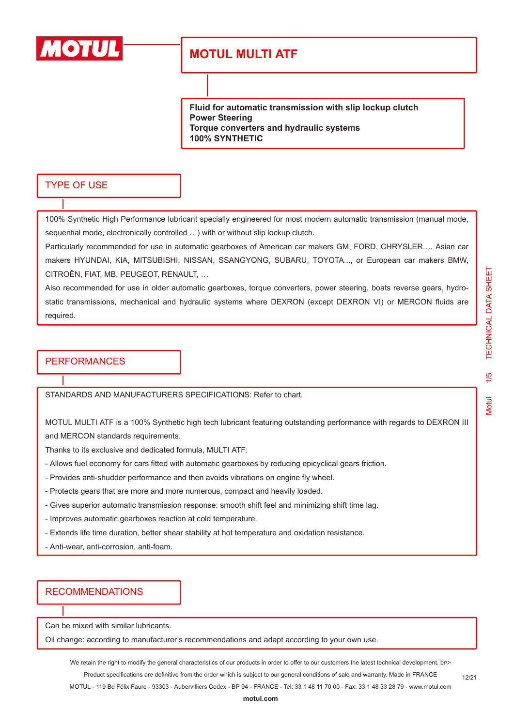

**Fluid for automatic transmission with slip lockup clutch Power Steering Torque converters and hydraulic systems 100% SYNTHETIC**

#### TYPE OF USE

100% Synthetic High Performance lubricant specially engineered for most modern automatic transmission (manual mode, sequential mode, electronically controlled …) with or without slip lockup clutch.

Particularly recommended for use in automatic gearboxes of American car makers GM, FORD, CHRYSLER…, Asian car makers HYUNDAI, KIA, MITSUBISHI, NISSAN, SSANGYONG, SUBARU, TOYOTA..., or European car makers BMW, CITROËN, FIAT, MB, PEUGEOT, RENAULT, …

Also recommended for use in older automatic gearboxes, torque converters, power steering, boats reverse gears, hydrostatic transmissions, mechanical and hydraulic systems where DEXRON (except DEXRON VI) or MERCON fluids are required.

#### **PERFORMANCES**

STANDARDS AND MANUFACTURERS SPECIFICATIONS: Refer to chart.

MOTUL MULTI ATF is a 100% Synthetic high tech lubricant featuring outstanding performance with regards to DEXRON III and MERCON standards requirements.

Thanks to its exclusive and dedicated formula, MULTI ATF:

- Allows fuel economy for cars fitted with automatic gearboxes by reducing epicyclical gears friction.
- Provides anti-shudder performance and then avoids vibrations on engine fly wheel.
- Protects gears that are more and more numerous, compact and heavily loaded.
- Gives superior automatic transmission response: smooth shift feel and minimizing shift time lag.
- Improves automatic gearboxes reaction at cold temperature.
- Extends life time duration, better shear stability at hot temperature and oxidation resistance.
- Anti-wear, anti-corrosion, anti-foam.

#### RECOMMENDATIONS

Can be mixed with similar lubricants.

Oil change: according to manufacturer's recommendations and adapt according to your own use.

We retain the right to modify the general characteristics of our products in order to offer to our customers the latest technical development. br\> Product specifications are definitive from the order which is subject to our general conditions of sale and warranty. Made in FRANCE

MOTUL - 119 Bd Félix Faure - 93303 - Aubervilliers Cedex - BP 94 - FRANCE - Tel: 33 1 48 11 70 00 - Fax: 33 1 48 33 28 79 - www.motul.com

12/21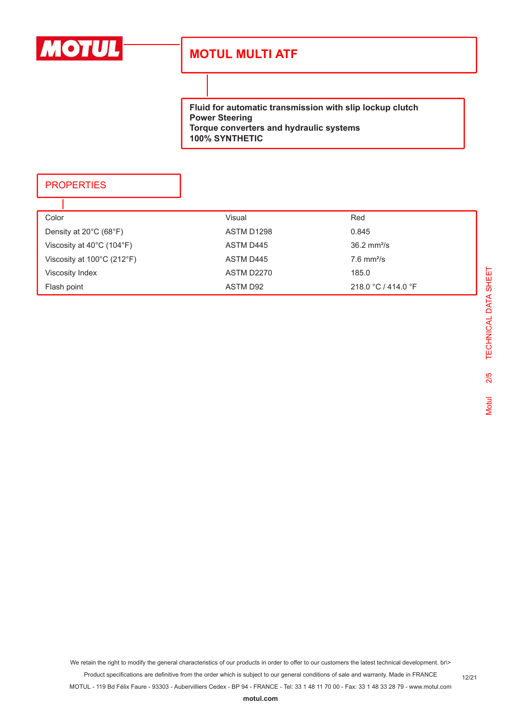

**Fluid for automatic transmission with slip lockup clutch Power Steering Torque converters and hydraulic systems 100% SYNTHETIC**

### **PROPERTIES**

| Color                                           | Visual     | Red                          |
|-------------------------------------------------|------------|------------------------------|
| Density at $20^{\circ}$ C (68 $^{\circ}$ F)     | ASTM D1298 | 0.845                        |
| Viscosity at $40^{\circ}$ C (104 $^{\circ}$ F)  | ASTM D445  | $36.2 \text{ mm}^2/\text{s}$ |
| Viscosity at $100^{\circ}$ C (212 $^{\circ}$ F) | ASTM D445  | $7.6$ mm <sup>2</sup> /s     |
| <b>Viscosity Index</b>                          | ASTM D2270 | 185.0                        |
| Flash point                                     | ASTM D92   | 218.0 °C / 414.0 °F          |

We retain the right to modify the general characteristics of our products in order to offer to our customers the latest technical development. br\>

Product specifications are definitive from the order which is subject to our general conditions of sale and warranty. Made in FRANCE MOTUL - 119 Bd Félix Faure - 93303 - Aubervilliers Cedex - BP 94 - FRANCE - Tel: 33 1 48 11 70 00 - Fax: 33 1 48 33 28 79 - www.motul.com

**[motul.com](http://www.motul.com)**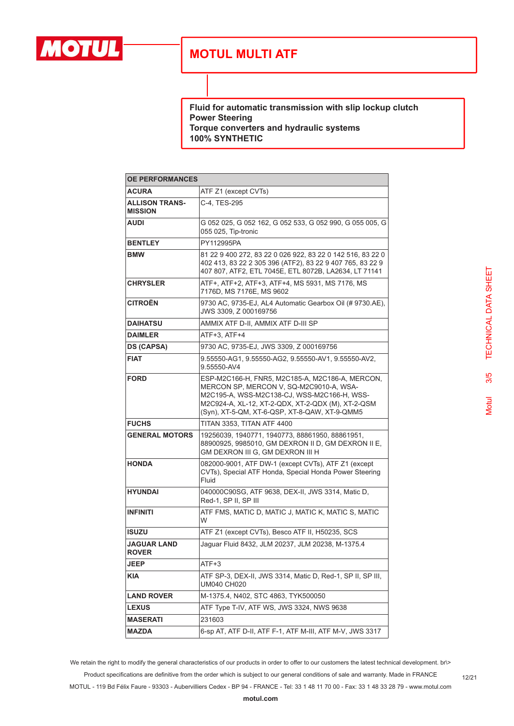

**Fluid for automatic transmission with slip lockup clutch Power Steering Torque converters and hydraulic systems 100% SYNTHETIC**

| <b><i>OE PERFORMANCES</i></b>           |                                                                                                                                                                                                                                                 |  |
|-----------------------------------------|-------------------------------------------------------------------------------------------------------------------------------------------------------------------------------------------------------------------------------------------------|--|
| <b>ACURA</b>                            | ATF Z1 (except CVTs)                                                                                                                                                                                                                            |  |
| <b>ALLISON TRANS-</b><br><b>MISSION</b> | C-4, TES-295                                                                                                                                                                                                                                    |  |
| <b>AUDI</b>                             | G 052 025, G 052 162, G 052 533, G 052 990, G 055 005, G<br>055 025, Tip-tronic                                                                                                                                                                 |  |
| <b>BENTLEY</b>                          | PY112995PA                                                                                                                                                                                                                                      |  |
| <b>BMW</b>                              | 81 22 9 400 272, 83 22 0 026 922, 83 22 0 142 516, 83 22 0<br>402 413, 83 22 2 305 396 (ATF2), 83 22 9 407 765, 83 22 9<br>407 807, ATF2, ETL 7045E, ETL 8072B, LA2634, LT 71141                                                                |  |
| <b>CHRYSLER</b>                         | ATF+, ATF+2, ATF+3, ATF+4, MS 5931, MS 7176, MS<br>7176D, MS 7176E, MS 9602                                                                                                                                                                     |  |
| <b>CITROËN</b>                          | 9730 AC, 9735-EJ, AL4 Automatic Gearbox Oil (# 9730.AE),<br>JWS 3309, Z 000169756                                                                                                                                                               |  |
| <b>DAIHATSU</b>                         | AMMIX ATF D-II, AMMIX ATF D-III SP                                                                                                                                                                                                              |  |
| <b>DAIMLER</b>                          | ATF+3, ATF+4                                                                                                                                                                                                                                    |  |
| <b>DS (CAPSA)</b>                       | 9730 AC. 9735-EJ. JWS 3309, Z 000169756                                                                                                                                                                                                         |  |
| <b>FIAT</b>                             | 9.55550-AG1, 9.55550-AG2, 9.55550-AV1, 9.55550-AV2,<br>9.55550-AV4                                                                                                                                                                              |  |
| <b>FORD</b>                             | ESP-M2C166-H, FNR5, M2C185-A, M2C186-A, MERCON,<br>MERCON SP, MERCON V, SQ-M2C9010-A, WSA-<br>M2C195-A, WSS-M2C138-CJ, WSS-M2C166-H, WSS-<br>M2C924-A, XL-12, XT-2-QDX, XT-2-QDX (M), XT-2-QSM<br>(Syn), XT-5-QM, XT-6-QSP, XT-8-QAW, XT-9-QMM5 |  |
| <b>FUCHS</b>                            | TITAN 3353, TITAN ATF 4400                                                                                                                                                                                                                      |  |
| <b>GENERAL MOTORS</b>                   | 19256039, 1940771, 1940773, 88861950, 88861951,<br>88900925, 9985010, GM DEXRON II D, GM DEXRON II E,<br>GM DEXRON III G, GM DEXRON III H                                                                                                       |  |
| <b>HONDA</b>                            | 082000-9001, ATF DW-1 (except CVTs), ATF Z1 (except<br>CVTs), Special ATF Honda, Special Honda Power Steering<br>Fluid                                                                                                                          |  |
| <b>HYUNDAI</b>                          | 040000C90SG, ATF 9638, DEX-II, JWS 3314, Matic D,<br>Red-1, SP II, SP III                                                                                                                                                                       |  |
| <b>INFINITI</b>                         | ATF FMS, MATIC D, MATIC J, MATIC K, MATIC S, MATIC<br>W                                                                                                                                                                                         |  |
| <b>ISUZU</b>                            | ATF Z1 (except CVTs), Besco ATF II, H50235, SCS                                                                                                                                                                                                 |  |
| <b>JAGUAR LAND</b><br><b>ROVER</b>      | Jaguar Fluid 8432, JLM 20237, JLM 20238, M-1375.4                                                                                                                                                                                               |  |
| JEEP                                    | ATF+3                                                                                                                                                                                                                                           |  |
| KIA                                     | ATF SP-3, DEX-II, JWS 3314, Matic D, Red-1, SP II, SP III,<br>UM040 CH020                                                                                                                                                                       |  |
| <b>LAND ROVER</b>                       | M-1375.4, N402, STC 4863, TYK500050                                                                                                                                                                                                             |  |
| <b>LEXUS</b>                            | ATF Type T-IV, ATF WS, JWS 3324, NWS 9638                                                                                                                                                                                                       |  |
| <b>MASERATI</b>                         | 231603                                                                                                                                                                                                                                          |  |
| <b>MAZDA</b>                            | 6-sp AT, ATF D-II, ATF F-1, ATF M-III, ATF M-V, JWS 3317                                                                                                                                                                                        |  |

We retain the right to modify the general characteristics of our products in order to offer to our customers the latest technical development. br\> Product specifications are definitive from the order which is subject to our general conditions of sale and warranty. Made in FRANCE

12/21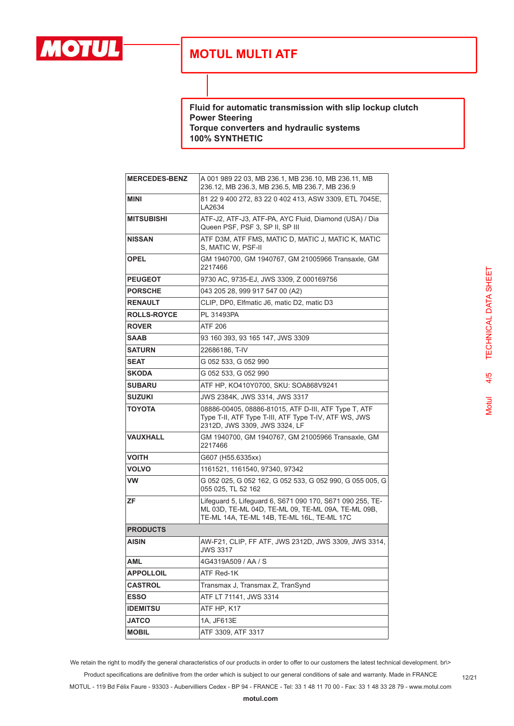

**Fluid for automatic transmission with slip lockup clutch Power Steering Torque converters and hydraulic systems 100% SYNTHETIC**

| <b>MERCEDES-BENZ</b> | A 001 989 22 03, MB 236.1, MB 236.10, MB 236.11, MB<br>236.12, MB 236.3, MB 236.5, MB 236.7, MB 236.9                                                         |
|----------------------|---------------------------------------------------------------------------------------------------------------------------------------------------------------|
| <b>MINI</b>          | 81 22 9 400 272, 83 22 0 402 413, ASW 3309, ETL 7045E,<br>LA2634                                                                                              |
| <b>MITSUBISHI</b>    | ATF-J2, ATF-J3, ATF-PA, AYC Fluid, Diamond (USA) / Dia<br>Queen PSF, PSF 3, SP II, SP III                                                                     |
| <b>NISSAN</b>        | ATF D3M, ATF FMS, MATIC D, MATIC J, MATIC K, MATIC<br>S, MATIC W, PSF-II                                                                                      |
| <b>OPEL</b>          | GM 1940700, GM 1940767, GM 21005966 Transaxle, GM<br>2217466                                                                                                  |
| <b>PEUGEOT</b>       | 9730 AC, 9735-EJ, JWS 3309, Z 000169756                                                                                                                       |
| <b>PORSCHE</b>       | 043 205 28, 999 917 547 00 (A2)                                                                                                                               |
| <b>RENAULT</b>       | CLIP, DP0, Elfmatic J6, matic D2, matic D3                                                                                                                    |
| <b>ROLLS-ROYCE</b>   | PL 31493PA                                                                                                                                                    |
| <b>ROVER</b>         | ATF 206                                                                                                                                                       |
| <b>SAAB</b>          | 93 160 393, 93 165 147, JWS 3309                                                                                                                              |
| <b>SATURN</b>        | 22686186, T-IV                                                                                                                                                |
| <b>SEAT</b>          | G 052 533, G 052 990                                                                                                                                          |
| <b>SKODA</b>         | G 052 533, G 052 990                                                                                                                                          |
| <b>SUBARU</b>        | ATF HP, KO410Y0700, SKU: SOA868V9241                                                                                                                          |
| <b>SUZUKI</b>        | JWS 2384K, JWS 3314, JWS 3317                                                                                                                                 |
| <b>TOYOTA</b>        | 08886-00405, 08886-81015, ATF D-III, ATF Type T, ATF<br>Type T-II, ATF Type T-III, ATF Type T-IV, ATF WS, JWS<br>2312D, JWS 3309, JWS 3324, LF                |
| <b>VAUXHALL</b>      | GM 1940700, GM 1940767, GM 21005966 Transaxle, GM<br>2217466                                                                                                  |
| <b>VOITH</b>         | G607 (H55.6335xx)                                                                                                                                             |
| <b>VOLVO</b>         | 1161521, 1161540, 97340, 97342                                                                                                                                |
| <b>VW</b>            | G 052 025, G 052 162, G 052 533, G 052 990, G 055 005, G<br>055 025, TL 52 162                                                                                |
| ZF                   | Lifeguard 5, Lifeguard 6, S671 090 170, S671 090 255, TE-<br>ML 03D, TE-ML 04D, TE-ML 09, TE-ML 09A, TE-ML 09B,<br>TE-ML 14A, TE-ML 14B, TE-ML 16L, TE-ML 17C |
| <b>PRODUCTS</b>      |                                                                                                                                                               |
| <b>AISIN</b>         | AW-F21, CLIP, FF ATF, JWS 2312D, JWS 3309, JWS 3314,<br><b>JWS 3317</b>                                                                                       |
| AML                  | 4G4319A509 / AA / S                                                                                                                                           |
| <b>APPOLLOIL</b>     | ATF Red-1K                                                                                                                                                    |
| <b>CASTROL</b>       | Transmax J, Transmax Z, TranSynd                                                                                                                              |
| <b>ESSO</b>          | ATF LT 71141, JWS 3314                                                                                                                                        |
| <b>IDEMITSU</b>      | ATF HP, K17                                                                                                                                                   |
| <b>JATCO</b>         | 1A, JF613E                                                                                                                                                    |
| <b>MOBIL</b>         | ATF 3309, ATF 3317                                                                                                                                            |

We retain the right to modify the general characteristics of our products in order to offer to our customers the latest technical development. br\> Product specifications are definitive from the order which is subject to our general conditions of sale and warranty. Made in FRANCE